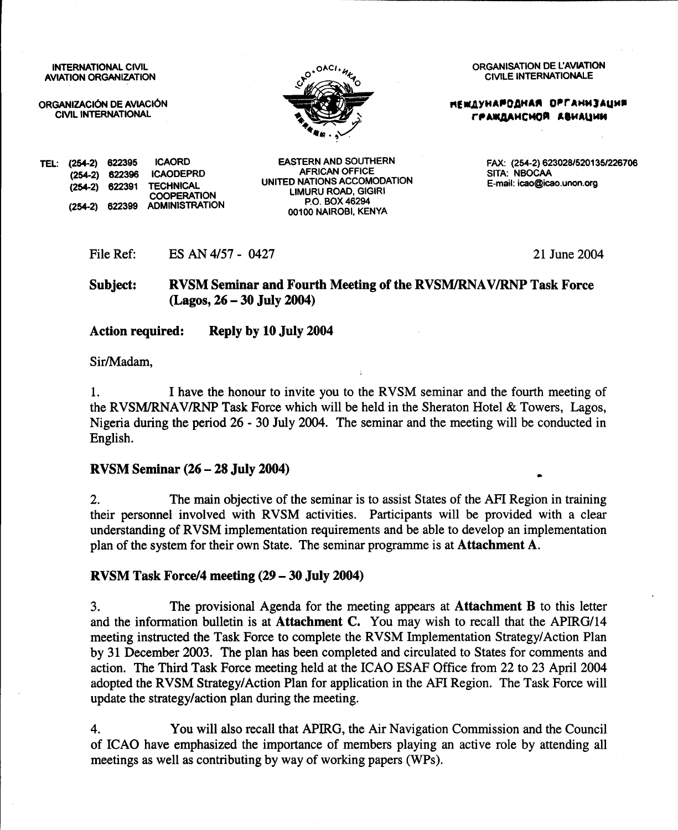**INTERNATIONAL CIVIL AVIATION ORGANIZATION** 

ORGANIZACIÓN DE AVIACIÓN **CIVIL INTERNATIONAL** 



**ORGANISATION DE L'AVIATION CIVILE INTERNATIONALE** 

**НЕШДУНАРОДНАЯ ОРГАНИЗАЦИЯ** ГРАЖДАНСНОЙ АВИАЦИИ

E-mail: icao@icao.unon.org

SITA: NBOCAA

**ICAORD** TEL: (254-2) 622395  $(254-2)$  622396 **ICAODEPRD** 622391 **TECHNICAL**  $(254-2)$ **COOPERATION ADMINISTRATION** 622399  $(254.2)$ 

**EASTERN AND SOUTHERN AFRICAN OFFICE** UNITED NATIONS ACCOMODATION **LIMURU ROAD, GIGIRI** P.O. BOX 46294 00100 NAIROBI, KENYA

21 June 2004

FAX: (254-2) 623028/520135/226706

**RVSM Seminar and Fourth Meeting of the RVSM/RNAV/RNP Task Force** Subject:  $(Lagos, 26 - 30 July 2004)$ 

**Action required:** Reply by 10 July 2004

ES AN 4/57 - 0427

Sir/Madam,

File Ref:

I have the honour to invite you to the RVSM seminar and the fourth meeting of 1. the RVSM/RNAV/RNP Task Force which will be held in the Sheraton Hotel & Towers, Lagos, Nigeria during the period 26 - 30 July 2004. The seminar and the meeting will be conducted in English.

#### **RVSM Seminar (26 – 28 July 2004)**

The main objective of the seminar is to assist States of the AFI Region in training  $2.$ their personnel involved with RVSM activities. Participants will be provided with a clear understanding of RVSM implementation requirements and be able to develop an implementation plan of the system for their own State. The seminar programme is at Attachment A.

#### RVSM Task Force/4 meeting (29 – 30 July 2004)

 $3<sub>1</sub>$ The provisional Agenda for the meeting appears at **Attachment B** to this letter and the information bulletin is at Attachment C. You may wish to recall that the APIRG/14 meeting instructed the Task Force to complete the RVSM Implementation Strategy/Action Plan by 31 December 2003. The plan has been completed and circulated to States for comments and action. The Third Task Force meeting held at the ICAO ESAF Office from 22 to 23 April 2004 adopted the RVSM Strategy/Action Plan for application in the AFI Region. The Task Force will update the strategy/action plan during the meeting.

 $4.$ You will also recall that APIRG, the Air Navigation Commission and the Council of ICAO have emphasized the importance of members playing an active role by attending all meetings as well as contributing by way of working papers (WPs).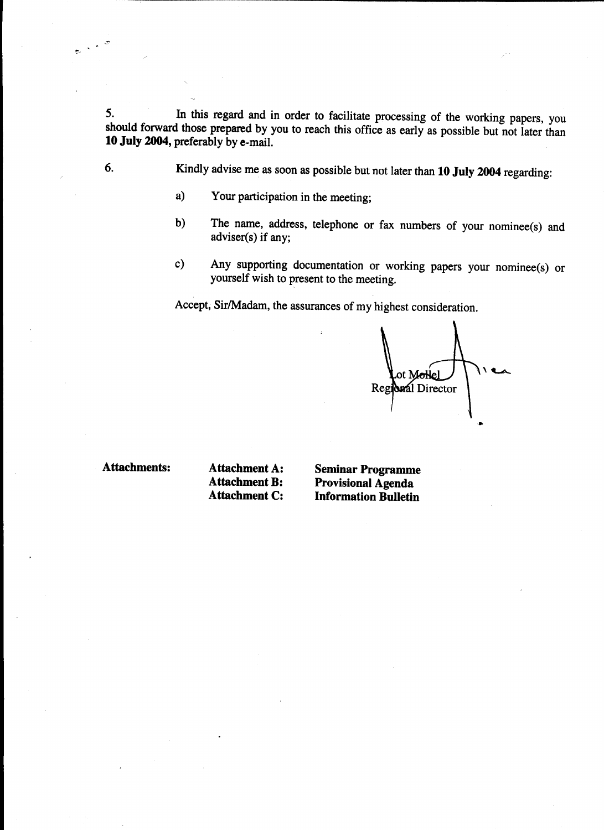In this regard and in order to facilitate processing of the working papers, you 5. should forward those prepared by you to reach this office as early as possible but not later than 10 July 2004, preferably by e-mail.

- Kindly advise me as soon as possible but not later than 10 July 2004 regarding:
	- Your participation in the meeting;  $a)$
	- The name, address, telephone or fax numbers of your nominee(s) and  $b)$ adviser(s) if any;
	- Any supporting documentation or working papers your nominee(s) or  $c)$ yourself wish to present to the meeting.

Accept, Sir/Madam, the assurances of my highest consideration.

ot Mollel Regional Director

**Attachments:** 

6.

**Attachment A: Attachment B: Attachment C:** 

**Seminar Programme Provisional Agenda Information Bulletin**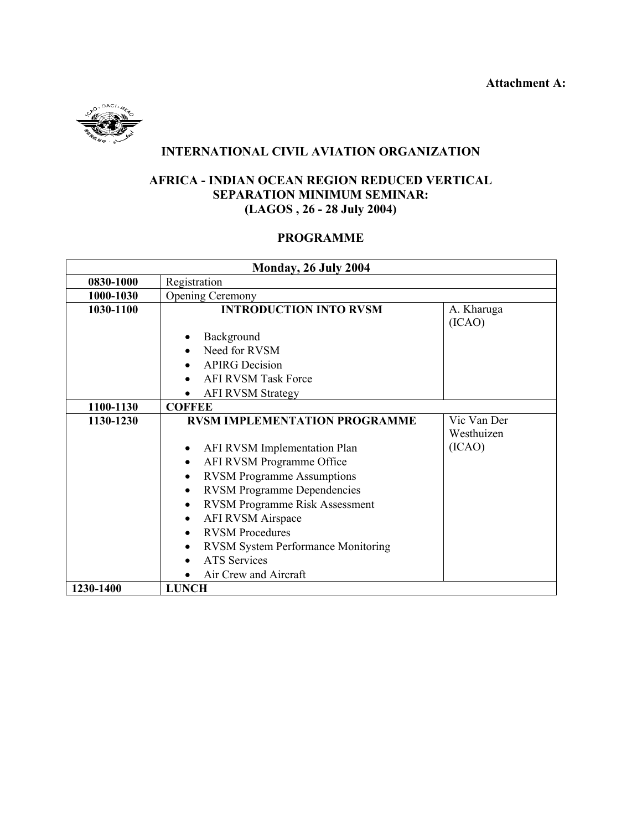

# **INTERNATIONAL CIVIL AVIATION ORGANIZATION**

## **AFRICA - INDIAN OCEAN REGION REDUCED VERTICAL SEPARATION MINIMUM SEMINAR: (LAGOS , 26 - 28 July 2004)**

## **PROGRAMME**

| <b>Monday, 26 July 2004</b> |                                                    |                           |  |
|-----------------------------|----------------------------------------------------|---------------------------|--|
| 0830-1000                   | Registration                                       |                           |  |
| 1000-1030                   | <b>Opening Ceremony</b>                            |                           |  |
| 1030-1100                   | <b>INTRODUCTION INTO RVSM</b>                      | A. Kharuga<br>(ICAO)      |  |
|                             | Background                                         |                           |  |
|                             | Need for RVSM                                      |                           |  |
|                             | <b>APIRG</b> Decision                              |                           |  |
|                             | <b>AFI RVSM Task Force</b>                         |                           |  |
|                             | <b>AFI RVSM Strategy</b>                           |                           |  |
| 1100-1130                   | <b>COFFEE</b>                                      |                           |  |
| 1130-1230                   | <b>RVSM IMPLEMENTATION PROGRAMME</b>               | Vic Van Der<br>Westhuizen |  |
|                             | AFI RVSM Implementation Plan<br>$\bullet$          | (ICAO)                    |  |
|                             | AFI RVSM Programme Office<br>$\bullet$             |                           |  |
|                             | <b>RVSM Programme Assumptions</b><br>٠             |                           |  |
|                             | <b>RVSM Programme Dependencies</b><br>$\bullet$    |                           |  |
|                             | <b>RVSM Programme Risk Assessment</b><br>$\bullet$ |                           |  |
|                             | <b>AFI RVSM Airspace</b><br>$\bullet$              |                           |  |
|                             | <b>RVSM</b> Procedures                             |                           |  |
|                             | <b>RVSM System Performance Monitoring</b>          |                           |  |
|                             | <b>ATS</b> Services                                |                           |  |
|                             | Air Crew and Aircraft                              |                           |  |
| 1230-1400                   | <b>LUNCH</b>                                       |                           |  |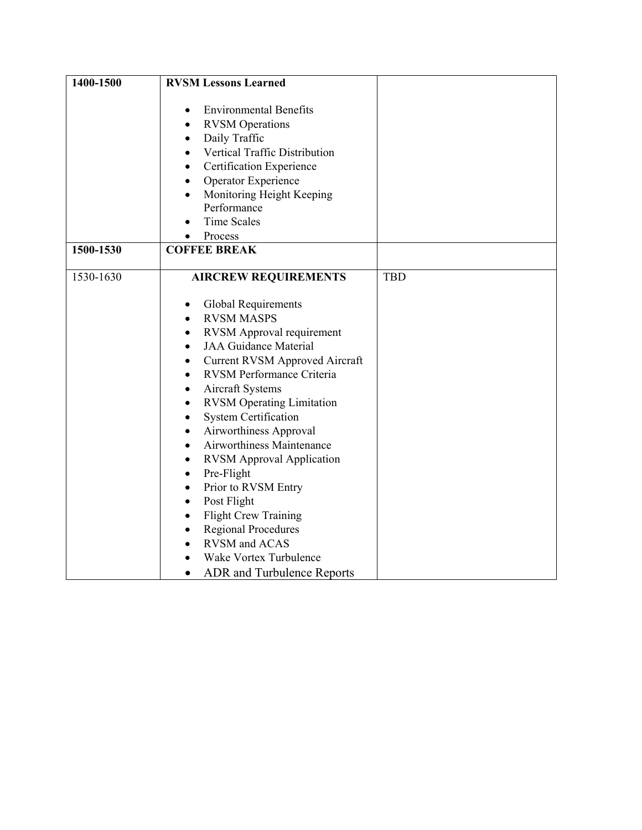| 1400-1500 | <b>RVSM Lessons Learned</b>                                                                                                                                                                                                                                                                                                                                                                                                                                                                                                                                                                                                                                                                                                                                            |            |
|-----------|------------------------------------------------------------------------------------------------------------------------------------------------------------------------------------------------------------------------------------------------------------------------------------------------------------------------------------------------------------------------------------------------------------------------------------------------------------------------------------------------------------------------------------------------------------------------------------------------------------------------------------------------------------------------------------------------------------------------------------------------------------------------|------------|
|           | <b>Environmental Benefits</b><br>$\bullet$<br><b>RVSM</b> Operations<br>Daily Traffic<br>$\bullet$<br>Vertical Traffic Distribution<br>Certification Experience<br>Operator Experience<br>$\bullet$<br>Monitoring Height Keeping<br>$\bullet$<br>Performance<br><b>Time Scales</b><br>Process                                                                                                                                                                                                                                                                                                                                                                                                                                                                          |            |
| 1500-1530 | <b>COFFEE BREAK</b>                                                                                                                                                                                                                                                                                                                                                                                                                                                                                                                                                                                                                                                                                                                                                    |            |
| 1530-1630 | <b>AIRCREW REQUIREMENTS</b>                                                                                                                                                                                                                                                                                                                                                                                                                                                                                                                                                                                                                                                                                                                                            | <b>TBD</b> |
|           | Global Requirements<br>٠<br><b>RVSM MASPS</b><br>$\bullet$<br><b>RVSM</b> Approval requirement<br>٠<br><b>JAA Guidance Material</b><br>$\bullet$<br><b>Current RVSM Approved Aircraft</b><br>٠<br>RVSM Performance Criteria<br>٠<br>Aircraft Systems<br>$\bullet$<br><b>RVSM Operating Limitation</b><br>$\bullet$<br><b>System Certification</b><br>$\bullet$<br>Airworthiness Approval<br>$\bullet$<br>Airworthiness Maintenance<br>$\bullet$<br><b>RVSM Approval Application</b><br>٠<br>Pre-Flight<br>$\bullet$<br>Prior to RVSM Entry<br>$\bullet$<br>Post Flight<br>٠<br><b>Flight Crew Training</b><br>$\bullet$<br><b>Regional Procedures</b><br>$\bullet$<br><b>RVSM</b> and ACAS<br>Wake Vortex Turbulence<br><b>ADR</b> and Turbulence Reports<br>$\bullet$ |            |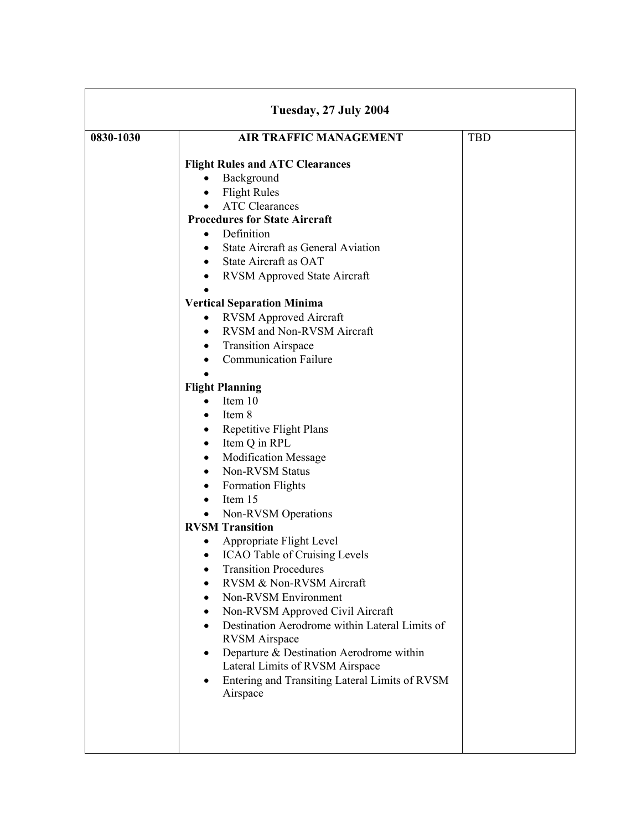| Tuesday, 27 July 2004 |                                                                                                                                                                                                                                                                                                                                                                                                                                                                                                                                                                                                                                                                                                                                                                                                                                                                                                                                                 |            |  |
|-----------------------|-------------------------------------------------------------------------------------------------------------------------------------------------------------------------------------------------------------------------------------------------------------------------------------------------------------------------------------------------------------------------------------------------------------------------------------------------------------------------------------------------------------------------------------------------------------------------------------------------------------------------------------------------------------------------------------------------------------------------------------------------------------------------------------------------------------------------------------------------------------------------------------------------------------------------------------------------|------------|--|
| 0830-1030             | <b>AIR TRAFFIC MANAGEMENT</b><br><b>Flight Rules and ATC Clearances</b><br>Background<br><b>Flight Rules</b><br>$\bullet$<br><b>ATC Clearances</b><br><b>Procedures for State Aircraft</b><br>Definition<br>$\bullet$<br>State Aircraft as General Aviation<br>State Aircraft as OAT<br>$\bullet$<br><b>RVSM Approved State Aircraft</b><br>$\bullet$                                                                                                                                                                                                                                                                                                                                                                                                                                                                                                                                                                                           | <b>TBD</b> |  |
|                       | <b>Vertical Separation Minima</b><br><b>RVSM Approved Aircraft</b><br>$\bullet$<br>RVSM and Non-RVSM Aircraft<br><b>Transition Airspace</b><br><b>Communication Failure</b><br><b>Flight Planning</b><br>Item 10<br>$\bullet$<br>Item 8<br><b>Repetitive Flight Plans</b><br>Item Q in RPL<br>$\bullet$<br><b>Modification Message</b><br>Non-RVSM Status<br><b>Formation Flights</b><br>Item 15<br>$\bullet$<br>Non-RVSM Operations<br>$\bullet$<br><b>RVSM Transition</b><br>Appropriate Flight Level<br><b>ICAO Table of Cruising Levels</b><br>٠<br><b>Transition Procedures</b><br>RVSM & Non-RVSM Aircraft<br>Non-RVSM Environment<br>Non-RVSM Approved Civil Aircraft<br>٠<br>Destination Aerodrome within Lateral Limits of<br>$\bullet$<br><b>RVSM</b> Airspace<br>Departure & Destination Aerodrome within<br>$\bullet$<br>Lateral Limits of RVSM Airspace<br>Entering and Transiting Lateral Limits of RVSM<br>$\bullet$<br>Airspace |            |  |
|                       |                                                                                                                                                                                                                                                                                                                                                                                                                                                                                                                                                                                                                                                                                                                                                                                                                                                                                                                                                 |            |  |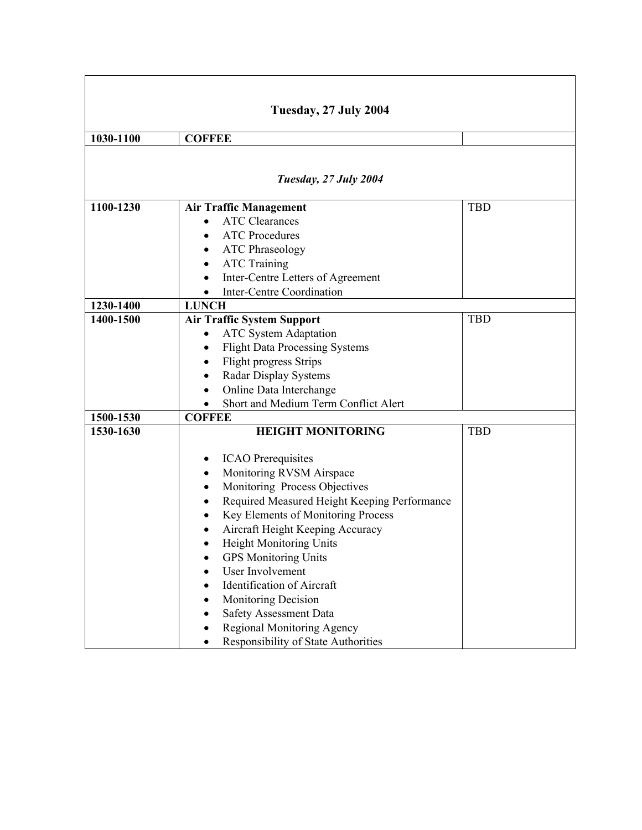| Tuesday, 27 July 2004 |                                                    |            |  |
|-----------------------|----------------------------------------------------|------------|--|
| 1030-1100             | <b>COFFEE</b>                                      |            |  |
|                       |                                                    |            |  |
|                       | Tuesday, 27 July 2004                              |            |  |
| 1100-1230             | <b>Air Traffic Management</b>                      | <b>TBD</b> |  |
|                       | <b>ATC Clearances</b>                              |            |  |
|                       | <b>ATC Procedures</b>                              |            |  |
|                       | <b>ATC Phraseology</b>                             |            |  |
|                       | <b>ATC Training</b>                                |            |  |
|                       | Inter-Centre Letters of Agreement<br>$\bullet$     |            |  |
|                       | <b>Inter-Centre Coordination</b>                   |            |  |
| 1230-1400             | <b>LUNCH</b>                                       |            |  |
| 1400-1500             | <b>Air Traffic System Support</b>                  | <b>TBD</b> |  |
|                       | <b>ATC System Adaptation</b>                       |            |  |
|                       | <b>Flight Data Processing Systems</b><br>$\bullet$ |            |  |
|                       | Flight progress Strips<br>٠                        |            |  |
|                       | <b>Radar Display Systems</b>                       |            |  |
|                       | Online Data Interchange                            |            |  |
|                       | Short and Medium Term Conflict Alert               |            |  |
| 1500-1530             | <b>COFFEE</b>                                      |            |  |
| 1530-1630             | <b>HEIGHT MONITORING</b>                           | <b>TBD</b> |  |
|                       |                                                    |            |  |
|                       | <b>ICAO</b> Prerequisites<br>٠                     |            |  |
|                       | Monitoring RVSM Airspace<br>٠                      |            |  |
|                       | Monitoring Process Objectives                      |            |  |
|                       | Required Measured Height Keeping Performance       |            |  |
|                       | Key Elements of Monitoring Process                 |            |  |
|                       | Aircraft Height Keeping Accuracy                   |            |  |
|                       | <b>Height Monitoring Units</b>                     |            |  |
|                       | <b>GPS</b> Monitoring Units                        |            |  |
|                       | User Involvement                                   |            |  |
|                       | <b>Identification of Aircraft</b>                  |            |  |
|                       | Monitoring Decision                                |            |  |
|                       | Safety Assessment Data                             |            |  |
|                       | <b>Regional Monitoring Agency</b>                  |            |  |
|                       | Responsibility of State Authorities                |            |  |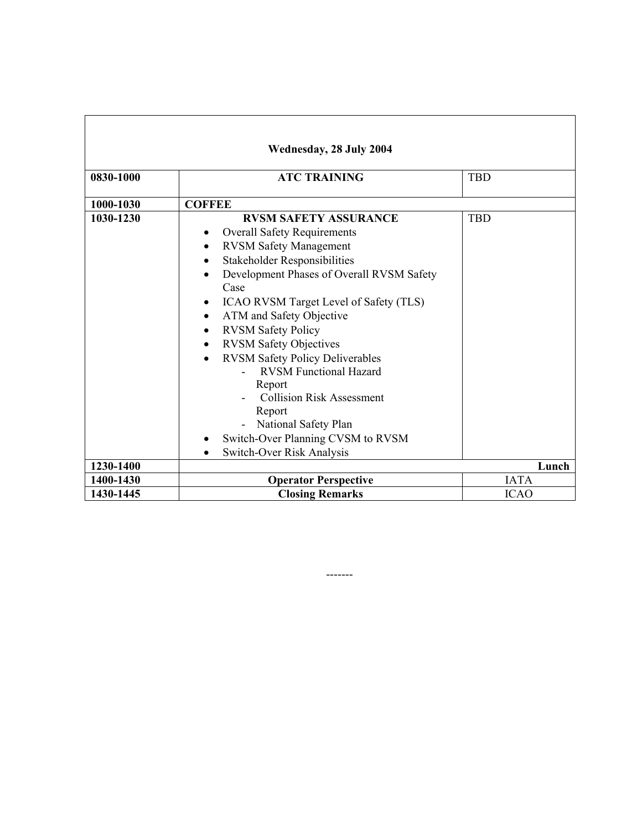| Wednesday, 28 July 2004 |                                                                                                                                                                                                                                                                                                                                                                                                                                                                                                                                                                                                                                                                  |             |  |
|-------------------------|------------------------------------------------------------------------------------------------------------------------------------------------------------------------------------------------------------------------------------------------------------------------------------------------------------------------------------------------------------------------------------------------------------------------------------------------------------------------------------------------------------------------------------------------------------------------------------------------------------------------------------------------------------------|-------------|--|
| 0830-1000               | <b>ATC TRAINING</b>                                                                                                                                                                                                                                                                                                                                                                                                                                                                                                                                                                                                                                              | <b>TBD</b>  |  |
| 1000-1030               | <b>COFFEE</b>                                                                                                                                                                                                                                                                                                                                                                                                                                                                                                                                                                                                                                                    |             |  |
| 1030-1230               | <b>RVSM SAFETY ASSURANCE</b><br><b>Overall Safety Requirements</b><br>٠<br><b>RVSM Safety Management</b><br>$\bullet$<br><b>Stakeholder Responsibilities</b><br>$\bullet$<br>Development Phases of Overall RVSM Safety<br>Case<br>ICAO RVSM Target Level of Safety (TLS)<br>ATM and Safety Objective<br>$\bullet$<br><b>RVSM Safety Policy</b><br>$\bullet$<br><b>RVSM Safety Objectives</b><br>$\bullet$<br><b>RVSM Safety Policy Deliverables</b><br>$\bullet$<br><b>RVSM Functional Hazard</b><br>Report<br><b>Collision Risk Assessment</b><br>Report<br>National Safety Plan<br>Switch-Over Planning CVSM to RVSM<br>Switch-Over Risk Analysis<br>$\bullet$ | <b>TBD</b>  |  |
| 1230-1400               |                                                                                                                                                                                                                                                                                                                                                                                                                                                                                                                                                                                                                                                                  | Lunch       |  |
| 1400-1430               | <b>Operator Perspective</b>                                                                                                                                                                                                                                                                                                                                                                                                                                                                                                                                                                                                                                      | <b>IATA</b> |  |
| 1430-1445               | <b>Closing Remarks</b>                                                                                                                                                                                                                                                                                                                                                                                                                                                                                                                                                                                                                                           | <b>ICAO</b> |  |

-------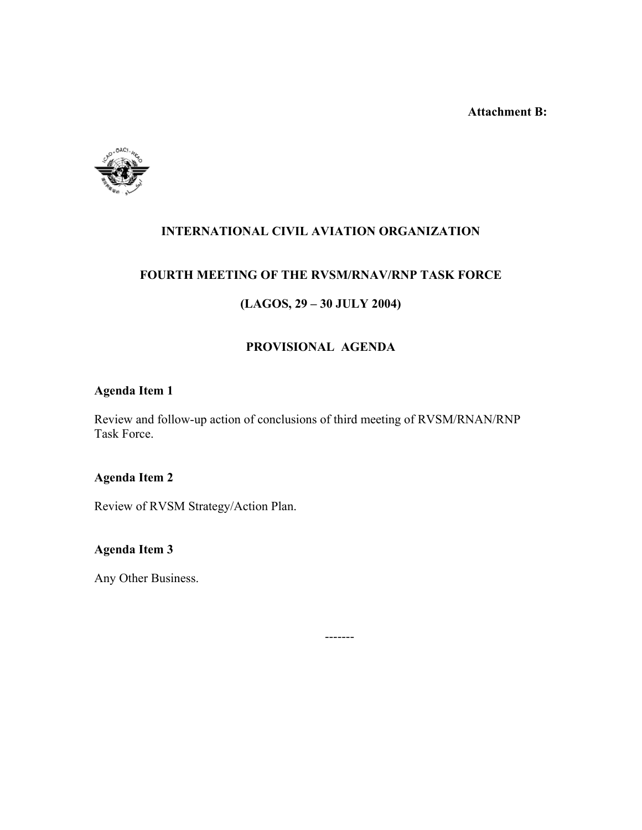**Attachment B:** 



# **INTERNATIONAL CIVIL AVIATION ORGANIZATION**

## **FOURTH MEETING OF THE RVSM/RNAV/RNP TASK FORCE**

## **(LAGOS, 29 – 30 JULY 2004)**

## **PROVISIONAL AGENDA**

## **Agenda Item 1**

Review and follow-up action of conclusions of third meeting of RVSM/RNAN/RNP Task Force.

-------

## **Agenda Item 2**

Review of RVSM Strategy/Action Plan.

# **Agenda Item 3**

Any Other Business.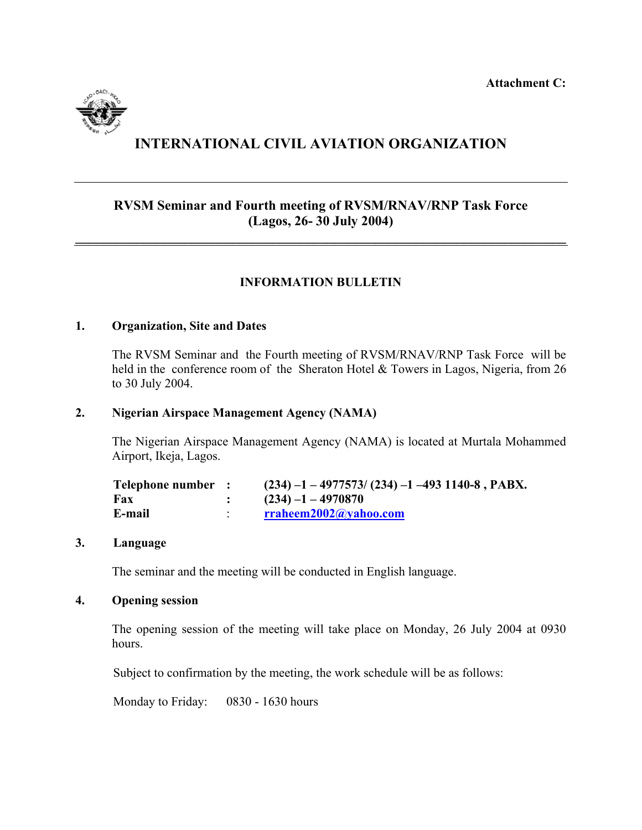**Attachment C:** 



# **INTERNATIONAL CIVIL AVIATION ORGANIZATION**

## **RVSM Seminar and Fourth meeting of RVSM/RNAV/RNP Task Force (Lagos, 26- 30 July 2004)**

**\_\_\_\_\_\_\_\_\_\_\_\_\_\_\_\_\_\_\_\_\_\_\_\_\_\_\_\_\_\_\_\_\_\_\_\_\_\_\_\_\_\_\_\_\_\_\_\_\_\_\_\_\_\_\_\_\_\_\_\_\_\_\_\_\_\_\_\_\_\_\_\_**

## **INFORMATION BULLETIN**

#### **1. Organization, Site and Dates**

The RVSM Seminar and the Fourth meeting of RVSM/RNAV/RNP Task Force will be held in the conference room of the Sheraton Hotel & Towers in Lagos, Nigeria, from 26 to 30 July 2004.

#### **2. Nigerian Airspace Management Agency (NAMA)**

The Nigerian Airspace Management Agency (NAMA) is located at Murtala Mohammed Airport, Ikeja, Lagos.

| Telephone number : | $(234)$ -1 - 4977573/ (234) -1 -493 1140-8, PABX. |
|--------------------|---------------------------------------------------|
| Fax                | $(234) - 1 - 4970870$                             |
| E-mail             | rraheem2002@yahoo.com                             |

#### **3. Language**

The seminar and the meeting will be conducted in English language.

#### **4. Opening session**

The opening session of the meeting will take place on Monday, 26 July 2004 at 0930 hours.

Subject to confirmation by the meeting, the work schedule will be as follows:

Monday to Friday: 0830 - 1630 hours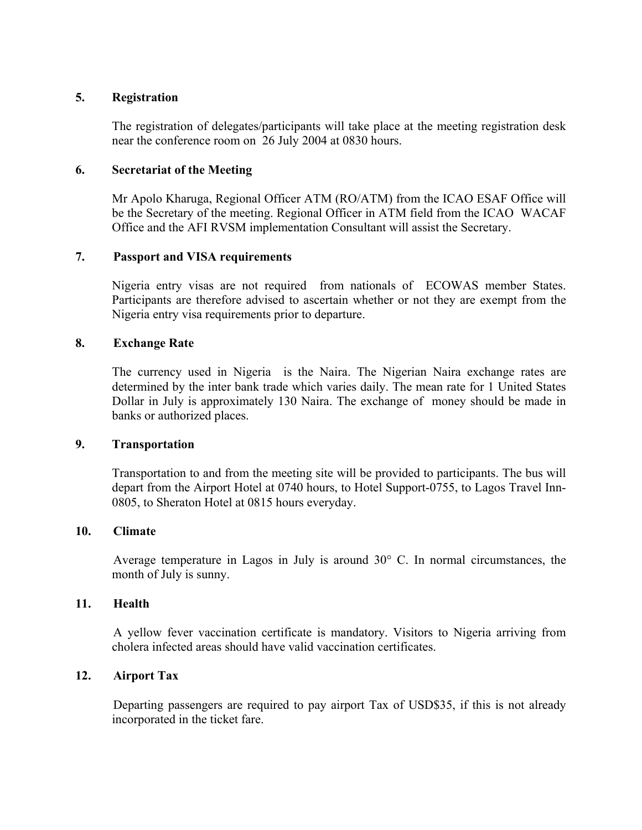#### **5. Registration**

The registration of delegates/participants will take place at the meeting registration desk near the conference room on 26 July 2004 at 0830 hours.

#### **6. Secretariat of the Meeting**

Mr Apolo Kharuga, Regional Officer ATM (RO/ATM) from the ICAO ESAF Office will be the Secretary of the meeting. Regional Officer in ATM field from the ICAO WACAF Office and the AFI RVSM implementation Consultant will assist the Secretary.

#### **7. Passport and VISA requirements**

Nigeria entry visas are not required from nationals of ECOWAS member States. Participants are therefore advised to ascertain whether or not they are exempt from the Nigeria entry visa requirements prior to departure.

#### **8. Exchange Rate**

The currency used in Nigeria is the Naira. The Nigerian Naira exchange rates are determined by the inter bank trade which varies daily. The mean rate for 1 United States Dollar in July is approximately 130 Naira. The exchange of money should be made in banks or authorized places.

#### **9. Transportation**

Transportation to and from the meeting site will be provided to participants. The bus will depart from the Airport Hotel at 0740 hours, to Hotel Support-0755, to Lagos Travel Inn-0805, to Sheraton Hotel at 0815 hours everyday.

#### **10. Climate**

Average temperature in Lagos in July is around 30° C. In normal circumstances, the month of July is sunny.

#### **11. Health**

A yellow fever vaccination certificate is mandatory. Visitors to Nigeria arriving from cholera infected areas should have valid vaccination certificates.

#### **12. Airport Tax**

Departing passengers are required to pay airport Tax of USD\$35, if this is not already incorporated in the ticket fare.